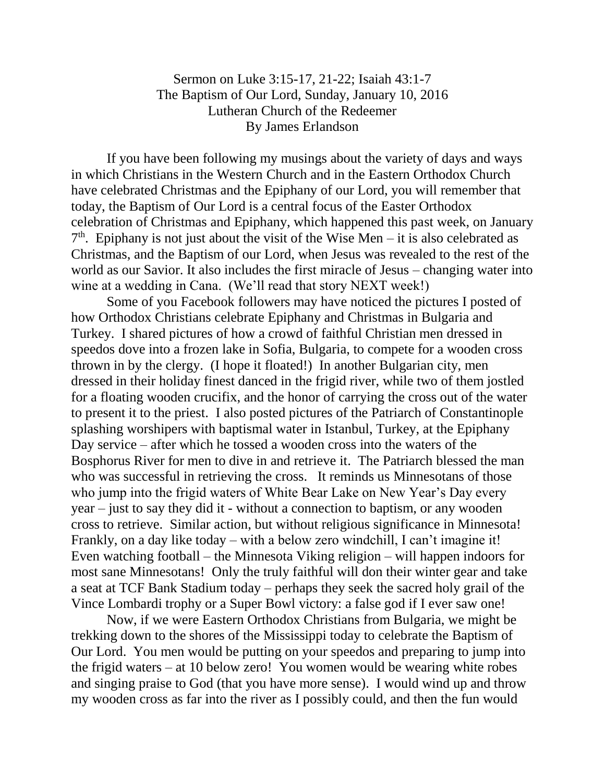## Sermon on Luke 3:15-17, 21-22; Isaiah 43:1-7 The Baptism of Our Lord, Sunday, January 10, 2016 Lutheran Church of the Redeemer By James Erlandson

If you have been following my musings about the variety of days and ways in which Christians in the Western Church and in the Eastern Orthodox Church have celebrated Christmas and the Epiphany of our Lord, you will remember that today, the Baptism of Our Lord is a central focus of the Easter Orthodox celebration of Christmas and Epiphany, which happened this past week, on January  $7<sup>th</sup>$ . Epiphany is not just about the visit of the Wise Men – it is also celebrated as Christmas, and the Baptism of our Lord, when Jesus was revealed to the rest of the world as our Savior. It also includes the first miracle of Jesus – changing water into wine at a wedding in Cana. (We'll read that story NEXT week!)

Some of you Facebook followers may have noticed the pictures I posted of how Orthodox Christians celebrate Epiphany and Christmas in Bulgaria and Turkey. I shared pictures of how a crowd of faithful Christian men dressed in speedos dove into a frozen lake in Sofia, Bulgaria, to compete for a wooden cross thrown in by the clergy. (I hope it floated!) In another Bulgarian city, men dressed in their holiday finest danced in the frigid river, while two of them jostled for a floating wooden crucifix, and the honor of carrying the cross out of the water to present it to the priest. I also posted pictures of the Patriarch of Constantinople splashing worshipers with baptismal water in Istanbul, Turkey, at the Epiphany Day service – after which he tossed a wooden cross into the waters of the Bosphorus River for men to dive in and retrieve it. The Patriarch blessed the man who was successful in retrieving the cross. It reminds us Minnesotans of those who jump into the frigid waters of White Bear Lake on New Year's Day every year – just to say they did it - without a connection to baptism, or any wooden cross to retrieve. Similar action, but without religious significance in Minnesota! Frankly, on a day like today – with a below zero windchill, I can't imagine it! Even watching football – the Minnesota Viking religion – will happen indoors for most sane Minnesotans! Only the truly faithful will don their winter gear and take a seat at TCF Bank Stadium today – perhaps they seek the sacred holy grail of the Vince Lombardi trophy or a Super Bowl victory: a false god if I ever saw one!

Now, if we were Eastern Orthodox Christians from Bulgaria, we might be trekking down to the shores of the Mississippi today to celebrate the Baptism of Our Lord. You men would be putting on your speedos and preparing to jump into the frigid waters – at 10 below zero! You women would be wearing white robes and singing praise to God (that you have more sense). I would wind up and throw my wooden cross as far into the river as I possibly could, and then the fun would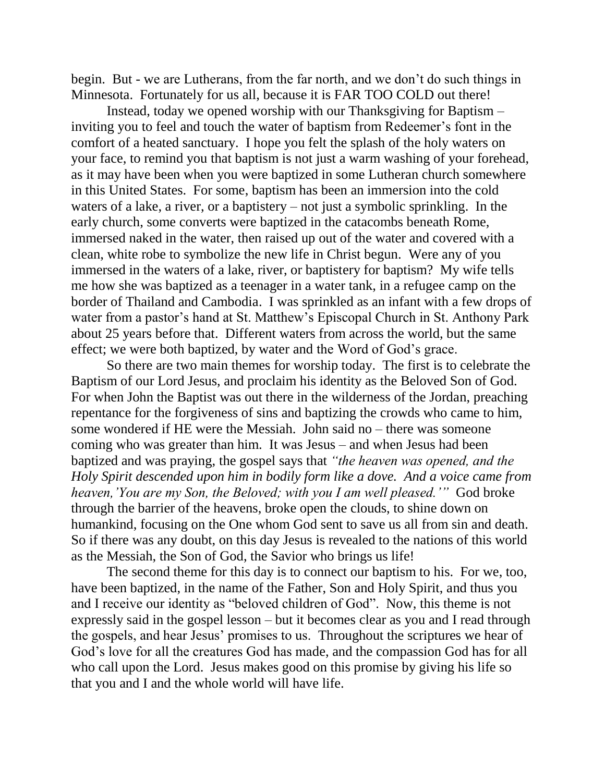begin. But - we are Lutherans, from the far north, and we don't do such things in Minnesota. Fortunately for us all, because it is FAR TOO COLD out there!

Instead, today we opened worship with our Thanksgiving for Baptism – inviting you to feel and touch the water of baptism from Redeemer's font in the comfort of a heated sanctuary. I hope you felt the splash of the holy waters on your face, to remind you that baptism is not just a warm washing of your forehead, as it may have been when you were baptized in some Lutheran church somewhere in this United States. For some, baptism has been an immersion into the cold waters of a lake, a river, or a baptistery – not just a symbolic sprinkling. In the early church, some converts were baptized in the catacombs beneath Rome, immersed naked in the water, then raised up out of the water and covered with a clean, white robe to symbolize the new life in Christ begun. Were any of you immersed in the waters of a lake, river, or baptistery for baptism? My wife tells me how she was baptized as a teenager in a water tank, in a refugee camp on the border of Thailand and Cambodia. I was sprinkled as an infant with a few drops of water from a pastor's hand at St. Matthew's Episcopal Church in St. Anthony Park about 25 years before that. Different waters from across the world, but the same effect; we were both baptized, by water and the Word of God's grace.

So there are two main themes for worship today. The first is to celebrate the Baptism of our Lord Jesus, and proclaim his identity as the Beloved Son of God. For when John the Baptist was out there in the wilderness of the Jordan, preaching repentance for the forgiveness of sins and baptizing the crowds who came to him, some wondered if HE were the Messiah. John said no – there was someone coming who was greater than him. It was Jesus – and when Jesus had been baptized and was praying, the gospel says that *"the heaven was opened, and the Holy Spirit descended upon him in bodily form like a dove. And a voice came from heaven,'You are my Son, the Beloved; with you I am well pleased.'"* God broke through the barrier of the heavens, broke open the clouds, to shine down on humankind, focusing on the One whom God sent to save us all from sin and death. So if there was any doubt, on this day Jesus is revealed to the nations of this world as the Messiah, the Son of God, the Savior who brings us life!

The second theme for this day is to connect our baptism to his. For we, too, have been baptized, in the name of the Father, Son and Holy Spirit, and thus you and I receive our identity as "beloved children of God". Now, this theme is not expressly said in the gospel lesson – but it becomes clear as you and I read through the gospels, and hear Jesus' promises to us. Throughout the scriptures we hear of God's love for all the creatures God has made, and the compassion God has for all who call upon the Lord. Jesus makes good on this promise by giving his life so that you and I and the whole world will have life.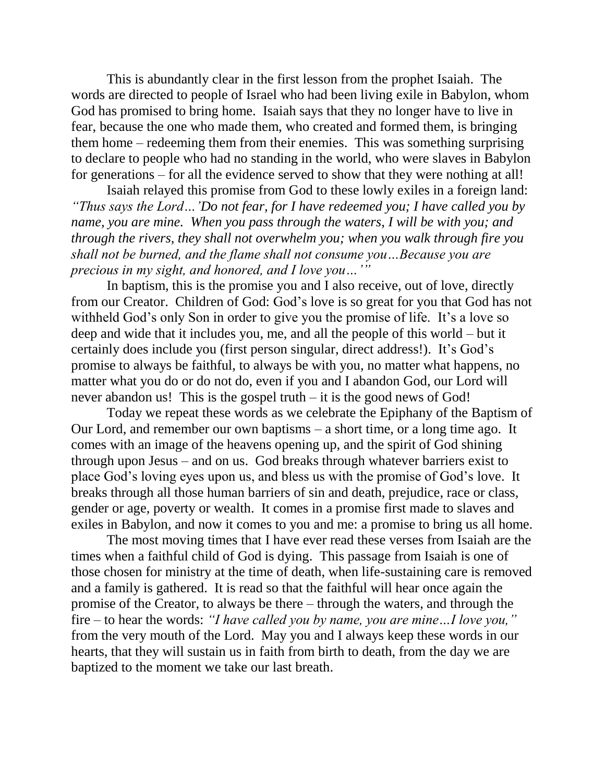This is abundantly clear in the first lesson from the prophet Isaiah. The words are directed to people of Israel who had been living exile in Babylon, whom God has promised to bring home. Isaiah says that they no longer have to live in fear, because the one who made them, who created and formed them, is bringing them home – redeeming them from their enemies. This was something surprising to declare to people who had no standing in the world, who were slaves in Babylon for generations – for all the evidence served to show that they were nothing at all!

Isaiah relayed this promise from God to these lowly exiles in a foreign land: *"Thus says the Lord…'Do not fear, for I have redeemed you; I have called you by name, you are mine. When you pass through the waters, I will be with you; and through the rivers, they shall not overwhelm you; when you walk through fire you shall not be burned, and the flame shall not consume you…Because you are precious in my sight, and honored, and I love you…'"*

In baptism, this is the promise you and I also receive, out of love, directly from our Creator. Children of God: God's love is so great for you that God has not withheld God's only Son in order to give you the promise of life. It's a love so deep and wide that it includes you, me, and all the people of this world – but it certainly does include you (first person singular, direct address!). It's God's promise to always be faithful, to always be with you, no matter what happens, no matter what you do or do not do, even if you and I abandon God, our Lord will never abandon us! This is the gospel truth – it is the good news of God!

Today we repeat these words as we celebrate the Epiphany of the Baptism of Our Lord, and remember our own baptisms – a short time, or a long time ago. It comes with an image of the heavens opening up, and the spirit of God shining through upon Jesus – and on us. God breaks through whatever barriers exist to place God's loving eyes upon us, and bless us with the promise of God's love. It breaks through all those human barriers of sin and death, prejudice, race or class, gender or age, poverty or wealth. It comes in a promise first made to slaves and exiles in Babylon, and now it comes to you and me: a promise to bring us all home.

The most moving times that I have ever read these verses from Isaiah are the times when a faithful child of God is dying. This passage from Isaiah is one of those chosen for ministry at the time of death, when life-sustaining care is removed and a family is gathered. It is read so that the faithful will hear once again the promise of the Creator, to always be there – through the waters, and through the fire – to hear the words: *"I have called you by name, you are mine…I love you,"*  from the very mouth of the Lord. May you and I always keep these words in our hearts, that they will sustain us in faith from birth to death, from the day we are baptized to the moment we take our last breath.